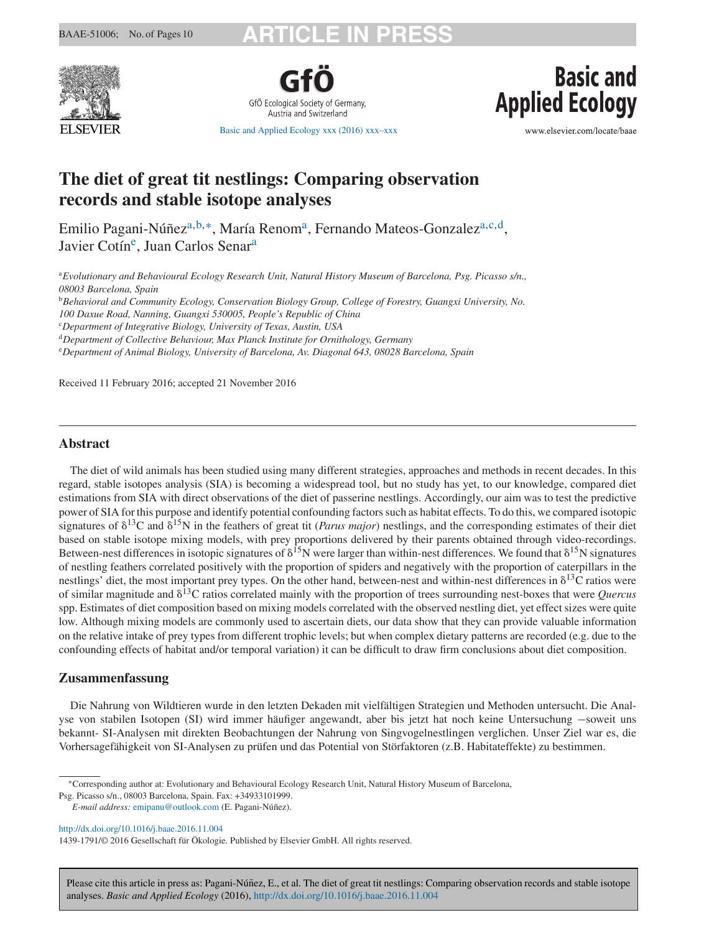

GfÖ Ecological Society of Germany Austria and Switzerland

[Basic and Applied Ecology xxx \(2016\) xxx–xxx](dx.doi.org/10.1016/j.baae.2016.11.004)

**Basic and Applied Ecology** 

www.elsevier.com/locate/baae

# **The diet of great tit nestlings: Comparing observation records and stable isotope analyses**

Emilio Pagani-Núñez<sup>a,b,∗</sup>, María Renom<sup>a</sup>, Fernando Mateos-Gonzalez<sup>a,c,d</sup>, Javier Cotín<sup>e</sup>, Juan Carlos Senar<sup>a</sup>

<sup>a</sup>*Evolutionary and Behavioural Ecology Research Unit, Natural History Museum of Barcelona, Psg. Picasso s/n., 08003 Barcelona, Spain*

<sup>b</sup>*Behavioral and Community Ecology, Conservation Biology Group, College of Forestry, Guangxi University, No.*

*100 Daxue Road, Nanning, Guangxi 530005, People's Republic of China*

c *Department of Integrative Biology, University of Texas, Austin, USA*

<sup>d</sup>*Department of Collective Behaviour, Max Planck Institute for Ornithology, Germany*

e *Department of Animal Biology, University of Barcelona, Av. Diagonal 643, 08028 Barcelona, Spain*

Received 11 February 2016; accepted 21 November 2016

# **Abstract**

The diet of wild animals has been studied using many different strategies, approaches and methods in recent decades. In this regard, stable isotopes analysis (SIA) is becoming a widespread tool, but no study has yet, to our knowledge, compared diet estimations from SIA with direct observations of the diet of passerine nestlings. Accordingly, our aim was to test the predictive power of SIA for this purpose and identify potential confounding factors such as habitat effects. To do this, we compared isotopic signatures of  $\delta^{13}C$  and  $\delta^{15}N$  in the feathers of great tit (*Parus major*) nestlings, and the corresponding estimates of their diet based on stable isotope mixing models, with prey proportions delivered by their parents obtained through video-recordings. Between-nest differences in isotopic signatures of  $\delta^{15}N$  were larger than within-nest differences. We found that  $\delta^{15}N$  signatures of nestling feathers correlated positively with the proportion of spiders and negatively with the proportion of caterpillars in the nestlings' diet, the most important prey types. On the other hand, between-nest and within-nest differences in  $\delta^{13}C$  ratios were of similar magnitude and  $\delta^{13}$ C ratios correlated mainly with the proportion of trees surrounding nest-boxes that were *Quercus* spp. Estimates of diet composition based on mixing models correlated with the observed nestling diet, yet effect sizes were quite low. Although mixing models are commonly used to ascertain diets, our data show that they can provide valuable information on the relative intake of prey types from different trophic levels; but when complex dietary patterns are recorded (e.g. due to the confounding effects of habitat and/or temporal variation) it can be difficult to draw firm conclusions about diet composition.

# **Zusammenfassung**

Die Nahrung von Wildtieren wurde in den letzten Dekaden mit vielfältigen Strategien und Methoden untersucht. Die Analyse von stabilen Isotopen (SI) wird immer häufiger angewandt, aber bis jetzt hat noch keine Untersuchung −soweit uns bekannt- SI-Analysen mit direkten Beobachtungen der Nahrung von Singvogelnestlingen verglichen. Unser Ziel war es, die Vorhersagefähigkeit von SI-Analysen zu prüfen und das Potential von Störfaktoren (z.B. Habitateffekte) zu bestimmen.

Psg. Picasso s/n., 08003 Barcelona, Spain. Fax: +34933101999.

*E-mail address:* [emipanu@outlook.com](mailto:emipanu@outlook.com) (E. Pagani-Núnez). ˜

[http://dx.doi.org/10.1016/j.baae.2016.11.004](dx.doi.org/10.1016/j.baae.2016.11.004)

1439-1791/© 2016 Gesellschaft für Ökologie. Published by Elsevier GmbH. All rights reserved.

<sup>∗</sup>Corresponding author at: Evolutionary and Behavioural Ecology Research Unit, Natural History Museum of Barcelona,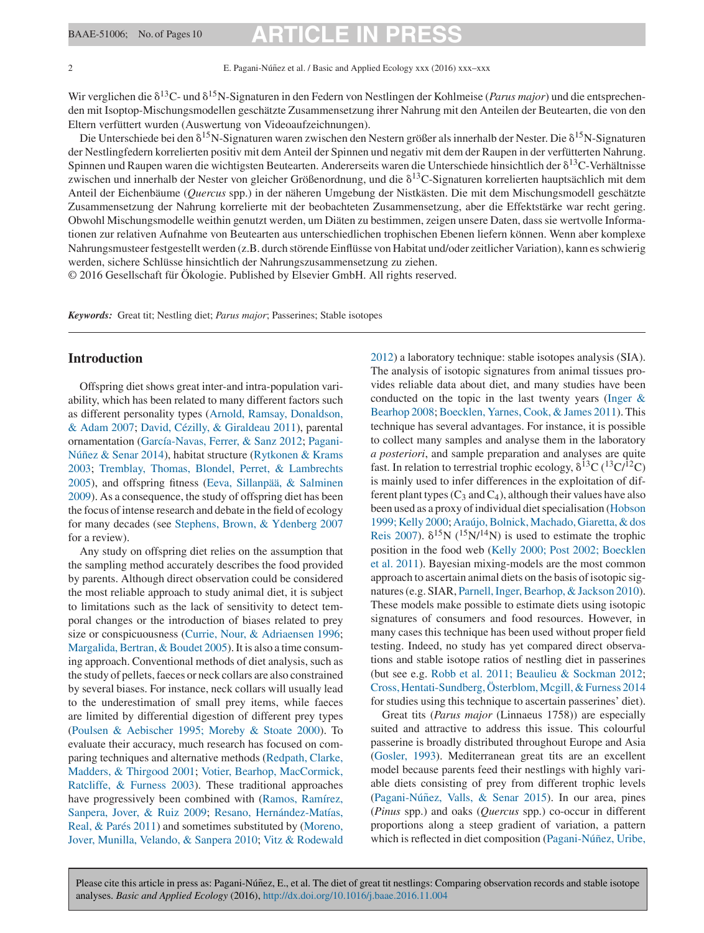### 2 **E. Pagani-Núñez et al. / Basic and Applied Ecology xxx (2016) xxx–xxx**

Wir verglichen die  $\delta^{13}C$ - und  $\delta^{15}N$ -Signaturen in den Federn von Nestlingen der Kohlmeise (*Parus major*) und die entsprechenden mit Isoptop-Mischungsmodellen geschätzte Zusammensetzung ihrer Nahrung mit den Anteilen der Beutearten, die von den Eltern verfüttert wurden (Auswertung von Videoaufzeichnungen).

Die Unterschiede bei den  $\delta^{15}N$ -Signaturen waren zwischen den Nestern größer als innerhalb der Nester. Die  $\delta^{15}N$ -Signaturen der Nestlingfedern korrelierten positiv mit dem Anteil der Spinnen und negativ mit dem der Raupen in der verfütterten Nahrung. Spinnen und Raupen waren die wichtigsten Beutearten. Andererseits waren die Unterschiede hinsichtlich der 8<sup>13</sup>C-Verhältnisse zwischen und innerhalb der Nester von gleicher Größenordnung, und die  $\delta^{13}$ C-Signaturen korrelierten hauptsächlich mit dem Anteil der Eichenbäume (*Quercus* spp.) in der näheren Umgebung der Nistkästen. Die mit dem Mischungsmodell geschätzte Zusammensetzung der Nahrung korrelierte mit der beobachteten Zusammensetzung, aber die Effektstärke war recht gering. Obwohl Mischungsmodelle weithin genutzt werden, um Diäten zu bestimmen, zeigen unsere Daten, dass sie wertvolle Informationen zur relativen Aufnahme von Beutearten aus unterschiedlichen trophischen Ebenen liefern können. Wenn aber komplexe Nahrungsmusteer festgestellt werden (z.B. durch störende Einflüsse von Habitat und/oder zeitlicher Variation), kann es schwierig werden, sichere Schlüsse hinsichtlich der Nahrungszusammensetzung zu ziehen.

© 2016 Gesellschaft für Ökologie. Published by Elsevier GmbH. All rights reserved.

*Keywords:* Great tit; Nestling diet; *Parus major*; Passerines; Stable isotopes

# **Introduction**

Offspring diet shows great inter-and intra-population variability, which has been related to many different factors such as different personality types ([Arnold, Ramsay, Donaldson,](#page-7-0) [& Adam 2007;](#page-7-0) [David, Cézilly, & Giraldeau 2011\),](#page-7-0) parental ornamentation [\(García-Navas, Ferrer, & Sanz 2012;](#page-7-0) [Pagani-](#page-8-0)Núñez [& Senar 2014](#page-8-0)), habitat structure [\(Rytkonen & Krams](#page-9-0) [2003;](#page-9-0) [Tremblay, Thomas, Blondel, Perret, & Lambrechts](#page-9-0) [2005\),](#page-9-0) and offspring fitness [\(Eeva, Sillanpää, & Salminen](#page-7-0) [2009\).](#page-7-0) As a consequence, the study of offspring diet has been the focus of intense research and debate in the field of ecology for many decades (see [Stephens, Brown, & Ydenberg 2007](#page-9-0) for a review).

Any study on offspring diet relies on the assumption that the sampling method accurately describes the food provided by parents. Although direct observation could be considered the most reliable approach to study animal diet, it is subject to limitations such as the lack of sensitivity to detect temporal changes or the introduction of biases related to prey size or conspicuousness ([Currie, Nour, & Adriaensen 1996;](#page-7-0) [Margalida, Bertran, & Boudet 2005\).](#page-8-0) It is also a time consuming approach. Conventional methods of diet analysis, such as the study of pellets, faeces or neck collars are also constrained by several biases. For instance, neck collars will usually lead to the underestimation of small prey items, while faeces are limited by differential digestion of different prey types [\(Poulsen & Aebischer 1995; Moreby & Stoate 2000\).](#page-8-0) To evaluate their accuracy, much research has focused on comparing techniques and alternative methods ([Redpath, Clarke,](#page-9-0) [Madders, & Thirgood 2001;](#page-9-0) [Votier, Bearhop, MacCormick,](#page-9-0) [Ratcliffe, & Furness 2003\).](#page-9-0) These traditional approaches have progressively been combined with ([Ramos, Ramírez,](#page-8-0) [Sanpera, Jover, & Ruiz 2009;](#page-8-0) [Resano, Hernández-Matías,](#page-9-0) [Real, & Parés 2011\)](#page-9-0) and sometimes substituted by ([Moreno,](#page-8-0) [Jover, Munilla, Velando, & Sanpera 2010;](#page-8-0) [Vitz & Rodewald](#page-9-0)

[2012\)](#page-9-0) a laboratory technique: stable isotopes analysis (SIA). The analysis of isotopic signatures from animal tissues provides reliable data about diet, and many studies have been conducted on the topic in the last twenty years ([Inger &](#page-8-0) [Bearhop 2008;](#page-8-0) [Boecklen, Yarnes, Cook, & James 2011\).](#page-7-0) This technique has several advantages. For instance, it is possible to collect many samples and analyse them in the laboratory *a posteriori*, and sample preparation and analyses are quite fast. In relation to terrestrial trophic ecology,  $\delta^{13}C$  ( $^{13}C/^{12}C$ ) is mainly used to infer differences in the exploitation of different plant types  $(C_3$  and  $C_4$ ), although their values have also been used as a proxy of individual diet specialisation ([Hobson](#page-8-0) [1999; Kelly 2000;](#page-8-0) [Araújo, Bolnick, Machado, Giaretta, & dos](#page-7-0) [Reis 2007\).](#page-7-0)  $\delta^{15}N$  ( $^{15}N/^{14}N$ ) is used to estimate the trophic position in the food web ([Kelly 2000; Post 2002; Boecklen](#page-8-0) [et al. 2011\).](#page-8-0) Bayesian mixing-models are the most common approach to ascertain animal diets on the basis of isotopic signatures (e.g. SIAR, [Parnell, Inger, Bearhop, & Jackson 2010\).](#page-8-0) These models make possible to estimate diets using isotopic signatures of consumers and food resources. However, in many cases this technique has been used without proper field testing. Indeed, no study has yet compared direct observations and stable isotope ratios of nestling diet in passerines (but see e.g. [Robb et al. 2011; Beaulieu & Sockman 2012;](#page-9-0) [Cross, Hentati-Sundberg, Österblom, Mcgill, & Furness 2014](#page-7-0) for studies using this technique to ascertain passerines' diet).

Great tits (*Parus major* (Linnaeus 1758)) are especially suited and attractive to address this issue. This colourful passerine is broadly distributed throughout Europe and Asia [\(Gosler, 1993\).](#page-8-0) Mediterranean great tits are an excellent model because parents feed their nestlings with highly variable diets consisting of prey from different trophic levels (Pagani-Núñez, Valls, & Senar 2015). In our area, pines (*Pinus* spp.) and oaks (*Quercus* spp.) co-occur in different proportions along a steep gradient of variation, a pattern which is reflected in diet composition (Pagani-Núñez, Uribe,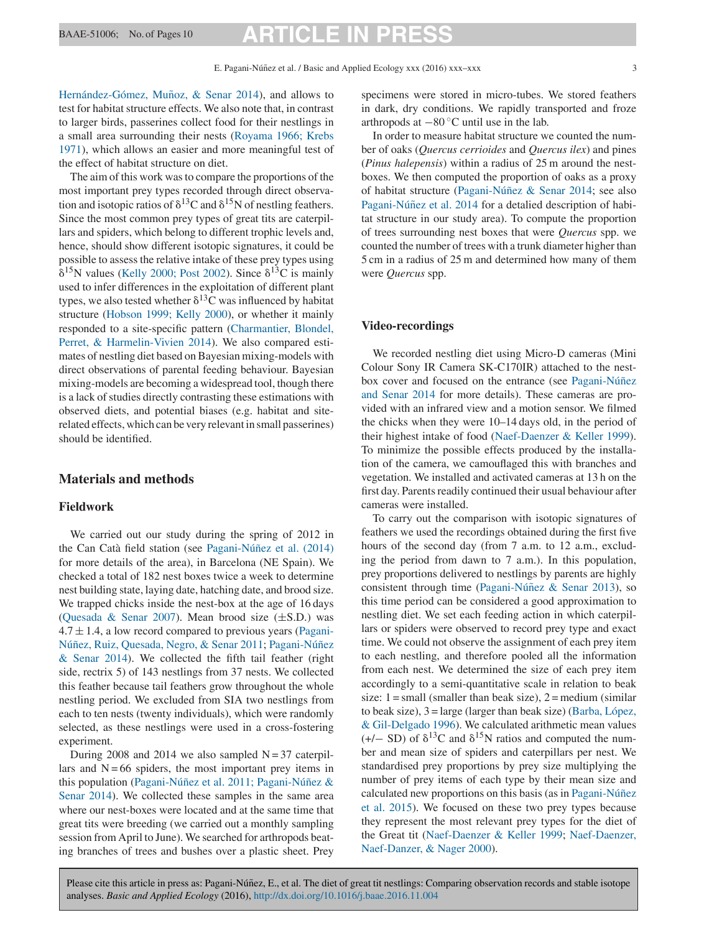# BAAE-51006; No. of Pages 10 **ARTICLE**

Hernández-Gómez, Muñoz, & Senar 2014), and allows to test for habitat structure effects. We also note that, in contrast to larger birds, passerines collect food for their nestlings in a small area surrounding their nests [\(Royama 1966; Krebs](#page-9-0) [1971\),](#page-9-0) which allows an easier and more meaningful test of the effect of habitat structure on diet.

The aim of this work was to compare the proportions of the most important prey types recorded through direct observation and isotopic ratios of  $\delta^{13}$ C and  $\delta^{15}$ N of nestling feathers. Since the most common prey types of great tits are caterpillars and spiders, which belong to different trophic levels and, hence, should show different isotopic signatures, it could be possible to assess the relative intake of these prey types using  $\delta^{15}$ N values [\(Kelly 2000; Post 2002\).](#page-8-0) Since  $\delta^{13}$ C is mainly used to infer differences in the exploitation of different plant types, we also tested whether  $\delta^{13}C$  was influenced by habitat structure [\(Hobson 1999; Kelly 2000\),](#page-8-0) or whether it mainly responded to a site-specific pattern [\(Charmantier, Blondel,](#page-7-0) [Perret, & Harmelin-Vivien 2014\).](#page-7-0) We also compared estimates of nestling diet based on Bayesian mixing-models with direct observations of parental feeding behaviour. Bayesian mixing-models are becoming a widespread tool, though there is a lack of studies directly contrasting these estimations with observed diets, and potential biases (e.g. habitat and siterelated effects, which can be very relevant in small passerines) should be identified.

## **Materials and methods**

## **Fieldwork**

We carried out our study during the spring of 2012 in the Can Catà field station (see Pagani-Núñez et al. (2014) for more details of the area), in Barcelona (NE Spain). We checked a total of 182 nest boxes twice a week to determine nest building state, laying date, hatching date, and brood size. We trapped chicks inside the nest-box at the age of 16 days ([Quesada & Senar 2007\).](#page-8-0) Mean brood size  $(\pm S.D.)$  was  $4.7 \pm 1.4$ , a low record compared to previous years [\(Pagani-](#page-8-0)Núñez, [Ruiz, Quesada, Negro, & Senar 2011](#page-8-0); Pagani-Núñez [& Senar 2014\).](#page-8-0) We collected the fifth tail feather (right side, rectrix 5) of 143 nestlings from 37 nests. We collected this feather because tail feathers grow throughout the whole nestling period. We excluded from SIA two nestlings from each to ten nests (twenty individuals), which were randomly selected, as these nestlings were used in a cross-fostering experiment.

During 2008 and 2014 we also sampled  $N = 37$  caterpillars and  $N = 66$  spiders, the most important prey items in this population (Pagani-Núñez et al. 2011; Pagani-Núñez [&](#page-8-0) [Senar 2014\).](#page-8-0) We collected these samples in the same area where our nest-boxes were located and at the same time that great tits were breeding (we carried out a monthly sampling session from April to June). We searched for arthropods beating branches of trees and bushes over a plastic sheet. Prey specimens were stored in micro-tubes. We stored feathers in dark, dry conditions. We rapidly transported and froze arthropods at  $-80^\circ$ C until use in the lab.

In order to measure habitat structure we counted the number of oaks (*Quercus cerrioides* and *Quercus ilex*) and pines (*Pinus halepensis*) within a radius of 25 m around the nestboxes. We then computed the proportion of oaks as a proxy of habitat structure (Pagani-Núñez & Senar 2014; see also Pagani-Núñez et al. 2014 for a detalied description of habitat structure in our study area). To compute the proportion of trees surrounding nest boxes that were *Quercus* spp. we counted the number of trees with a trunk diameter higher than 5 cm in a radius of 25 m and determined how many of them were *Quercus* spp.

### **Video-recordings**

We recorded nestling diet using Micro-D cameras (Mini Colour Sony IR Camera SK-C170IR) attached to the nestbox cover and focused on the entrance (see Pagani-Núñez [and Senar 2014](#page-8-0) for more details). These cameras are provided with an infrared view and a motion sensor. We filmed the chicks when they were 10–14 days old, in the period of their highest intake of food ([Naef-Daenzer & Keller 1999\).](#page-8-0) To minimize the possible effects produced by the installation of the camera, we camouflaged this with branches and vegetation. We installed and activated cameras at 13 h on the first day. Parents readily continued their usual behaviour after cameras were installed.

To carry out the comparison with isotopic signatures of feathers we used the recordings obtained during the first five hours of the second day (from 7 a.m. to 12 a.m., excluding the period from dawn to 7 a.m.). In this population, prey proportions delivered to nestlings by parents are highly consistent through time (Pagani-Núñez & Senar 2013), so this time period can be considered a good approximation to nestling diet. We set each feeding action in which caterpillars or spiders were observed to record prey type and exact time. We could not observe the assignment of each prey item to each nestling, and therefore pooled all the information from each nest. We determined the size of each prey item accordingly to a semi-quantitative scale in relation to beak size:  $1 = \text{small}$  (smaller than beak size),  $2 = \text{medium}$  (similar) to beak size), 3 = large (larger than beak size) ([Barba, López,](#page-7-0) [& Gil-Delgado 1996\).](#page-7-0) We calculated arithmetic mean values  $(+/- SD)$  of  $\delta^{13}C$  and  $\delta^{15}N$  ratios and computed the number and mean size of spiders and caterpillars per nest. We standardised prey proportions by prey size multiplying the number of prey items of each type by their mean size and calculated new proportions on this basis (as in Pagani-Núñez [et al. 2015\).](#page-8-0) We focused on these two prey types because they represent the most relevant prey types for the diet of the Great tit ([Naef-Daenzer & Keller 1999;](#page-8-0) [Naef-Daenzer,](#page-8-0) [Naef-Danzer, & Nager 2000\).](#page-8-0)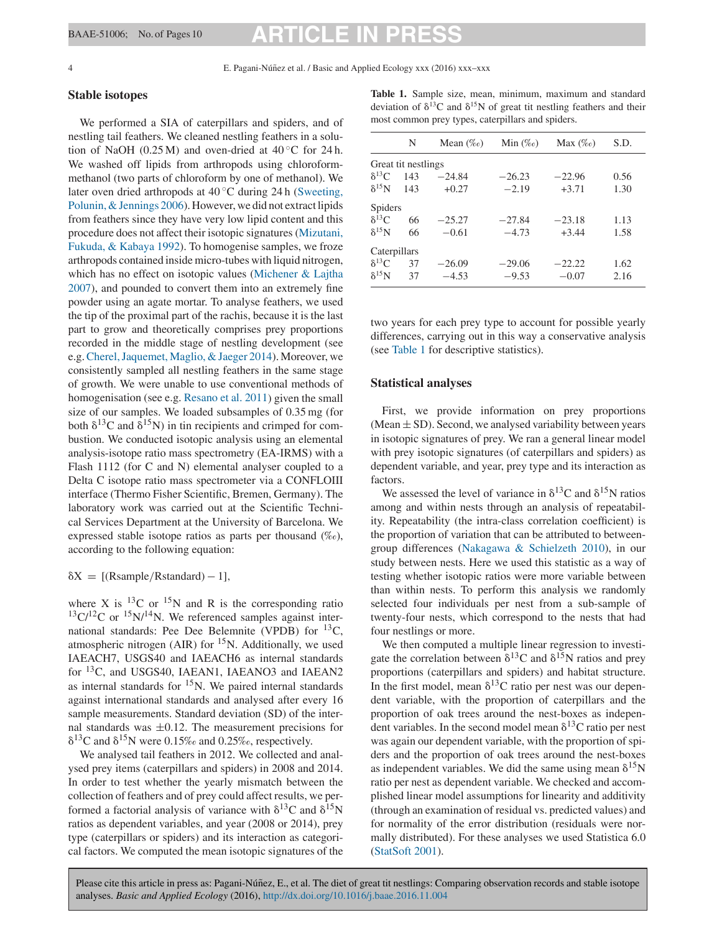<span id="page-3-0"></span>4 E. Pagani-Núnez et al. / Basic and Applied Ecology xxx (2016) xxx–xxx ˜

### **Stable isotopes**

We performed a SIA of caterpillars and spiders, and of nestling tail feathers. We cleaned nestling feathers in a solution of NaOH (0.25 M) and oven-dried at  $40^{\circ}$ C for 24 h. We washed off lipids from arthropods using chloroformmethanol (two parts of chloroform by one of methanol). We later oven dried arthropods at  $40^{\circ}$ C during 24 h [\(Sweeting,](#page-9-0) [Polunin, & Jennings 2006\).](#page-9-0) However, we did not extract lipids from feathers since they have very low lipid content and this procedure does not affect their isotopic signatures [\(Mizutani,](#page-8-0) [Fukuda, & Kabaya 1992\).](#page-8-0) To homogenise samples, we froze arthropods contained inside micro-tubes with liquid nitrogen, which has no effect on isotopic values [\(Michener & Lajtha](#page-8-0) [2007\),](#page-8-0) and pounded to convert them into an extremely fine powder using an agate mortar. To analyse feathers, we used the tip of the proximal part of the rachis, because it is the last part to grow and theoretically comprises prey proportions recorded in the middle stage of nestling development (see e.g.[Cherel, Jaquemet, Maglio, & Jaeger 2014\).](#page-7-0) Moreover, we consistently sampled all nestling feathers in the same stage of growth. We were unable to use conventional methods of homogenisation (see e.g. [Resano et al. 2011\)](#page-9-0) given the small size of our samples. We loaded subsamples of 0.35 mg (for both  $\delta^{13}$ C and  $\delta^{15}$ N) in tin recipients and crimped for combustion. We conducted isotopic analysis using an elemental analysis-isotope ratio mass spectrometry (EA-IRMS) with a Flash 1112 (for C and N) elemental analyser coupled to a Delta C isotope ratio mass spectrometer via a CONFLOIII interface (Thermo Fisher Scientific, Bremen, Germany). The laboratory work was carried out at the Scientific Technical Services Department at the University of Barcelona. We expressed stable isotope ratios as parts per thousand  $(\%_0)$ , according to the following equation:

# $\delta X = [$ (Rsample/Rstandard) – 1],

where X is  $^{13}$ C or  $^{15}$ N and R is the corresponding ratio  $13\text{C}/12\text{C}$  or  $15\text{N}/14\text{N}$ . We referenced samples against international standards: Pee Dee Belemnite (VPDB) for 13C, atmospheric nitrogen (AIR) for  $15N$ . Additionally, we used IAEACH7, USGS40 and IAEACH6 as internal standards for <sup>13</sup>C, and USGS40, IAEAN1, IAEANO3 and IAEAN2 as internal standards for  ${}^{15}N$ . We paired internal standards against international standards and analysed after every 16 sample measurements. Standard deviation (SD) of the internal standards was  $\pm 0.12$ . The measurement precisions for  $\delta^{13}$ C and  $\delta^{15}$ N were 0.15‰ and 0.25‰, respectively.

We analysed tail feathers in 2012. We collected and analysed prey items (caterpillars and spiders) in 2008 and 2014. In order to test whether the yearly mismatch between the collection of feathers and of prey could affect results, we performed a factorial analysis of variance with  $\delta^{13}$ C and  $\delta^{15}$ N ratios as dependent variables, and year (2008 or 2014), prey type (caterpillars or spiders) and its interaction as categorical factors. We computed the mean isotopic signatures of the

**Table 1.** Sample size, mean, minimum, maximum and standard deviation of  $\delta^{13}$ C and  $\delta^{15}$ N of great tit nestling feathers and their most common prey types, caterpillars and spiders.

|                 | N                   | Mean $(\%_0)$ | Min $(\%_0)$ | Max $(\%_0)$ | S.D. |
|-----------------|---------------------|---------------|--------------|--------------|------|
|                 | Great tit nestlings |               |              |              |      |
| $\delta^{13}C$  | 143                 | $-24.84$      | $-26.23$     | $-22.96$     | 0.56 |
| $\delta^{15}$ N | 143                 | $+0.27$       | $-2.19$      | $+3.71$      | 1.30 |
| <b>Spiders</b>  |                     |               |              |              |      |
| $\delta^{13}C$  | 66                  | $-25.27$      | $-27.84$     | $-23.18$     | 1.13 |
| $\delta^{15}$ N | 66                  | $-0.61$       | $-4.73$      | $+3.44$      | 1.58 |
| Caterpillars    |                     |               |              |              |      |
| $\delta^{13}C$  | 37                  | $-26.09$      | $-29.06$     | $-22.22$     | 1.62 |
| $\delta^{15}$ N | 37                  | $-4.53$       | $-9.53$      | $-0.07$      | 2.16 |

two years for each prey type to account for possible yearly differences, carrying out in this way a conservative analysis (see Table 1 for descriptive statistics).

### **Statistical analyses**

First, we provide information on prey proportions (Mean  $\pm$  SD). Second, we analysed variability between years in isotopic signatures of prey. We ran a general linear model with prey isotopic signatures (of caterpillars and spiders) as dependent variable, and year, prey type and its interaction as factors.

We assessed the level of variance in  $\delta^{13}$ C and  $\delta^{15}$ N ratios among and within nests through an analysis of repeatability. Repeatability (the intra-class correlation coefficient) is the proportion of variation that can be attributed to betweengroup differences [\(Nakagawa & Schielzeth 2010\),](#page-8-0) in our study between nests. Here we used this statistic as a way of testing whether isotopic ratios were more variable between than within nests. To perform this analysis we randomly selected four individuals per nest from a sub-sample of twenty-four nests, which correspond to the nests that had four nestlings or more.

We then computed a multiple linear regression to investigate the correlation between  $\delta^{13}$ C and  $\delta^{15}$ N ratios and prey proportions (caterpillars and spiders) and habitat structure. In the first model, mean  $\delta^{13}$ C ratio per nest was our dependent variable, with the proportion of caterpillars and the proportion of oak trees around the nest-boxes as independent variables. In the second model mean  $\delta^{13}$ C ratio per nest was again our dependent variable, with the proportion of spiders and the proportion of oak trees around the nest-boxes as independent variables. We did the same using mean  $\delta^{15}N$ ratio per nest as dependent variable. We checked and accomplished linear model assumptions for linearity and additivity (through an examination of residual vs. predicted values) and for normality of the error distribution (residuals were normally distributed). For these analyses we used Statistica 6.0 [\(StatSoft 2001\).](#page-9-0)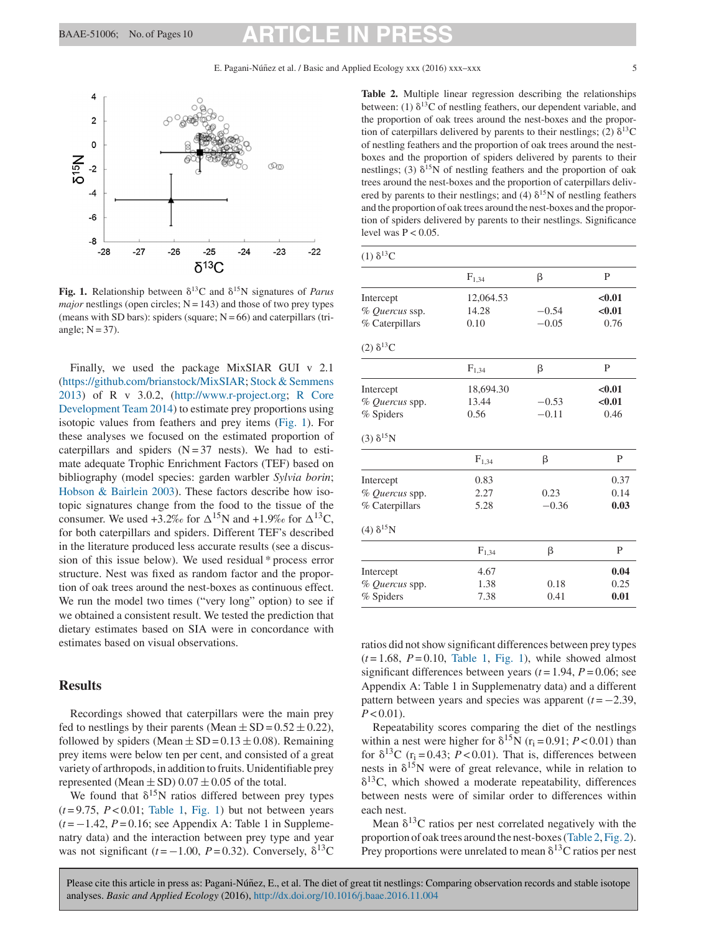<span id="page-4-0"></span>

**Fig. 1.** Relationship between  $\delta^{13}$ C and  $\delta^{15}$ N signatures of *Parus major* nestlings (open circles;  $N = 143$ ) and those of two prey types (means with SD bars): spiders (square;  $N = 66$ ) and caterpillars (triangle;  $N = 37$ ).

Finally, we used the package MixSIAR GUI v 2.1 ([https://github.com/brianstock/MixSIAR;](https://github.com/brianstock/MixSIAR) [Stock & Semmens](#page-9-0) [2013\)](#page-9-0) of R v 3.0.2, [\(http://www.r-project.org](http://www.r-project.org); [R Core](#page-8-0) [Development Team 2014\)](#page-8-0) to estimate prey proportions using isotopic values from feathers and prey items (Fig. 1). For these analyses we focused on the estimated proportion of caterpillars and spiders  $(N = 37$  nests). We had to estimate adequate Trophic Enrichment Factors (TEF) based on bibliography (model species: garden warbler *Sylvia borin*; [Hobson & Bairlein 2003\).](#page-8-0) These factors describe how isotopic signatures change from the food to the tissue of the consumer. We used  $+3.2\%$  for  $\Delta^{15}$ N and  $+1.9\%$  for  $\Delta^{13}$ C, for both caterpillars and spiders. Different TEF's described in the literature produced less accurate results (see a discussion of this issue below). We used residual \* process error structure. Nest was fixed as random factor and the proportion of oak trees around the nest-boxes as continuous effect. We run the model two times ("very long" option) to see if we obtained a consistent result. We tested the prediction that dietary estimates based on SIA were in concordance with estimates based on visual observations.

### **Results**

Recordings showed that caterpillars were the main prey fed to nestlings by their parents (Mean  $\pm$  SD = 0.52  $\pm$  0.22), followed by spiders (Mean  $\pm$  SD = 0.13  $\pm$  0.08). Remaining prey items were below ten per cent, and consisted of a great variety of arthropods, in addition to fruits. Unidentifiable prey represented (Mean  $\pm$  SD) 0.07  $\pm$  0.05 of the total.

We found that  $\delta^{15}N$  ratios differed between prey types  $(t=9.75, P<0.01;$  [Table 1,](#page-3-0) Fig. 1) but not between years (*t* = −1.42, *P* = 0.16; see Appendix A: Table 1 in Supplemenatry data) and the interaction between prey type and year was not significant ( $t = -1.00$ ,  $P = 0.32$ ). Conversely,  $\delta^{13}$ C

**Table 2.** Multiple linear regression describing the relationships between: (1)  $\delta^{13}$ C of nestling feathers, our dependent variable, and the proportion of oak trees around the nest-boxes and the proportion of caterpillars delivered by parents to their nestlings; (2)  $\delta^{13}$ C of nestling feathers and the proportion of oak trees around the nestboxes and the proportion of spiders delivered by parents to their nestlings; (3)  $\delta^{15}N$  of nestling feathers and the proportion of oak trees around the nest-boxes and the proportion of caterpillars delivered by parents to their nestlings; and (4)  $\delta^{15}$ N of nestling feathers and the proportion of oak trees around the nest-boxes and the proportion of spiders delivered by parents to their nestlings. Significance level was  $P < 0.05$ .

| $(1)$ δ <sup>13</sup> C |            |         |        |
|-------------------------|------------|---------|--------|
|                         | $F_{1,34}$ | β       | P      |
| Intercept               | 12,064.53  |         | < 0.01 |
| % Quercus ssp.          | 14.28      | $-0.54$ | < 0.01 |
| % Caterpillars          | 0.10       | $-0.05$ | 0.76   |
| $(2)$ δ <sup>13</sup> C |            |         |        |
|                         | $F_{1,34}$ | β       | P      |
| Intercept               | 18,694.30  |         | < 0.01 |
| % Quercus spp.          | 13.44      | $-0.53$ | < 0.01 |
| % Spiders               | 0.56       | $-0.11$ | 0.46   |
| $(3)$ δ <sup>15</sup> N |            |         |        |
|                         | $F_{1,34}$ | β       | P      |
| Intercept               | 0.83       |         | 0.37   |
| % Quercus spp.          | 2.27       | 0.23    | 0.14   |
| % Caterpillars          | 5.28       | $-0.36$ | 0.03   |
| (4) $\delta^{15}N$      |            |         |        |
|                         | $F_{1,34}$ | β       | P      |
| Intercept               | 4.67       |         | 0.04   |
| % Quercus spp.          | 1.38       | 0.18    | 0.25   |
| % Spiders               | 7.38       | 0.41    | 0.01   |

ratios did not show significant differences between prey types  $(t=1.68, P=0.10,$  [Table 1,](#page-3-0) Fig. 1), while showed almost significant differences between years  $(t = 1.94, P = 0.06$ ; see Appendix A: Table 1 in Supplemenatry data) and a different pattern between years and species was apparent  $(t = -2.39)$ ,  $P < 0.01$ ).

Repeatability scores comparing the diet of the nestlings within a nest were higher for  $\delta^{15}N$  (r<sub>i</sub> = 0.91; *P* < 0.01) than for  $\delta^{13}$ C (r<sub>i</sub> = 0.43; *P* < 0.01). That is, differences between nests in  $\delta^{15}N$  were of great relevance, while in relation to  $\delta^{13}$ C, which showed a moderate repeatability, differences between nests were of similar order to differences within each nest.

Mean  $\delta^{13}$ C ratios per nest correlated negatively with the proportion of oak trees around the nest-boxes (Table 2, [Fig. 2\).](#page-5-0) Prey proportions were unrelated to mean  $\delta^{13}$ C ratios per nest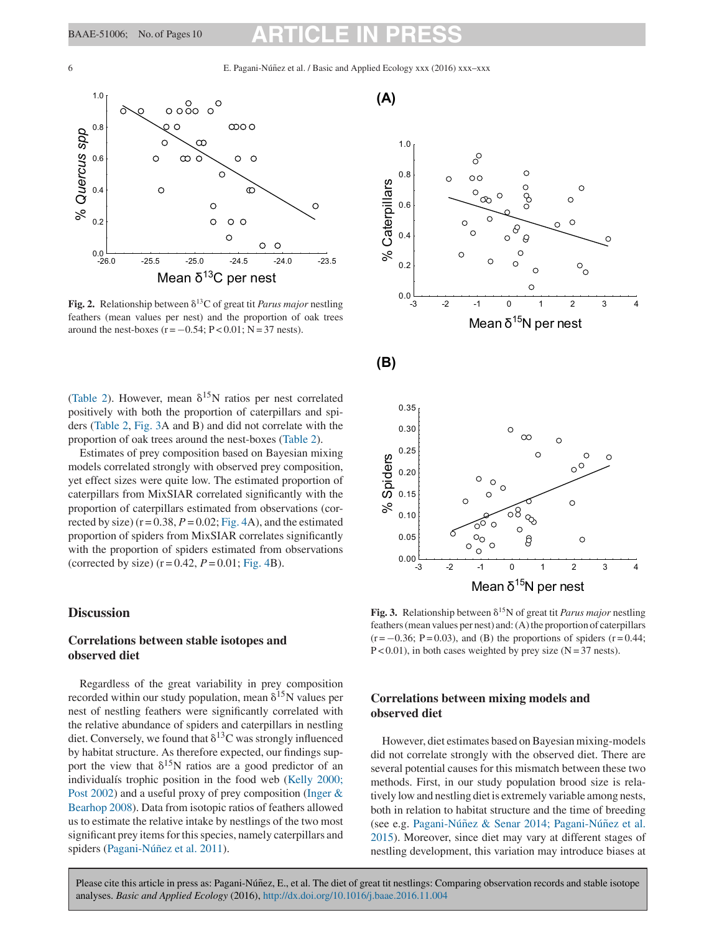<span id="page-5-0"></span>6 E. Pagani-Núnez et al. / Basic and Applied Ecology xxx (2016) xxx–xxx ˜



Fig. 2. Relationship between  $\delta^{13}$ C of great tit *Parus major* nestling feathers (mean values per nest) and the proportion of oak trees around the nest-boxes  $(r = -0.54; P < 0.01; N = 37$  nests).

[\(Table 2\)](#page-4-0). However, mean  $\delta^{15}N$  ratios per nest correlated positively with both the proportion of caterpillars and spiders [\(Table 2,](#page-4-0) Fig. 3A and B) and did not correlate with the proportion of oak trees around the nest-boxes [\(Table 2\).](#page-4-0)

Estimates of prey composition based on Bayesian mixing models correlated strongly with observed prey composition, yet effect sizes were quite low. The estimated proportion of caterpillars from MixSIAR correlated significantly with the proportion of caterpillars estimated from observations (corrected by size)  $(r = 0.38, P = 0.02; Fig. 4A)$  $(r = 0.38, P = 0.02; Fig. 4A)$  $(r = 0.38, P = 0.02; Fig. 4A)$ , and the estimated proportion of spiders from MixSIAR correlates significantly with the proportion of spiders estimated from observations (corrected by size)  $(r = 0.42, P = 0.01; Fig. 4B)$  $(r = 0.42, P = 0.01; Fig. 4B)$  $(r = 0.42, P = 0.01; Fig. 4B)$ .

# **Discussion**

# **Correlations between stable isotopes and observed diet**

Regardless of the great variability in prey composition recorded within our study population, mean  $\delta^{15}N$  values per nest of nestling feathers were significantly correlated with the relative abundance of spiders and caterpillars in nestling diet. Conversely, we found that  $\delta^{13}$ C was strongly influenced by habitat structure. As therefore expected, our findings support the view that  $\delta^{15}N$  ratios are a good predictor of an individualís trophic position in the food web ([Kelly 2000;](#page-8-0) [Post 2002\)](#page-8-0) and a useful proxy of prey composition ([Inger &](#page-8-0) [Bearhop 2008\).](#page-8-0) Data from isotopic ratios of feathers allowed us to estimate the relative intake by nestlings of the two most significant prey items for this species, namely caterpillars and spiders (Pagani-Núñez et al. 2011).



Fig. 3. Relationship between  $\delta^{15}N$  of great tit *Parus major* nestling feathers (mean values per nest) and: (A) the proportion of caterpillars  $(r = -0.36; P = 0.03)$ , and (B) the proportions of spiders  $(r = 0.44;$  $P < 0.01$ ), in both cases weighted by prey size (N = 37 nests).

# **Correlations between mixing models and observed diet**

However, diet estimates based on Bayesian mixing-models did not correlate strongly with the observed diet. There are several potential causes for this mismatch between these two methods. First, in our study population brood size is relatively low and nestling diet is extremely variable among nests, both in relation to habitat structure and the time of breeding (see e.g. Pagani-Núñez & Senar 2014; Pagani-Núñez [et al.](#page-8-0) [2015\).](#page-8-0) Moreover, since diet may vary at different stages of nestling development, this variation may introduce biases at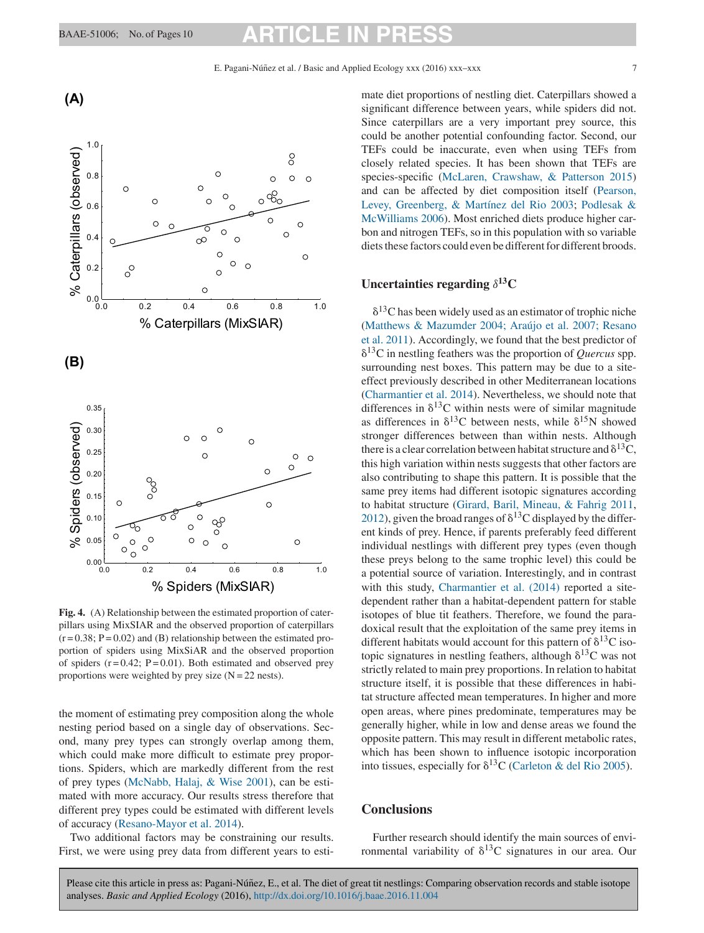**(A)**

# <span id="page-6-0"></span>BAAE-51006; No. of Pages 10 **ARTICLE IN PRESS**



**Fig. 4.** (A) Relationship between the estimated proportion of caterpillars using MixSIAR and the observed proportion of caterpillars  $(r = 0.38; P = 0.02)$  and (B) relationship between the estimated proportion of spiders using MixSiAR and the observed proportion of spiders  $(r = 0.42; P = 0.01)$ . Both estimated and observed prey proportions were weighted by prey size  $(N = 22 \text{ nests})$ .

the moment of estimating prey composition along the whole nesting period based on a single day of observations. Second, many prey types can strongly overlap among them, which could make more difficult to estimate prey proportions. Spiders, which are markedly different from the rest of prey types ([McNabb, Halaj, & Wise 2001\),](#page-8-0) can be estimated with more accuracy. Our results stress therefore that different prey types could be estimated with different levels of accuracy [\(Resano-Mayor et al. 2014\).](#page-9-0)

Two additional factors may be constraining our results. First, we were using prey data from different years to estimate diet proportions of nestling diet. Caterpillars showed a significant difference between years, while spiders did not. Since caterpillars are a very important prey source, this could be another potential confounding factor. Second, our TEFs could be inaccurate, even when using TEFs from closely related species. It has been shown that TEFs are species-specific [\(McLaren, Crawshaw, & Patterson 2015\)](#page-8-0) and can be affected by diet composition itself ([Pearson,](#page-8-0) [Levey, Greenberg, & Martínez del Rio 2003;](#page-8-0) [Podlesak &](#page-8-0) [McWilliams 2006\).](#page-8-0) Most enriched diets produce higher carbon and nitrogen TEFs, so in this population with so variable diets these factors could even be different for different broods.

# **Uncertainties regarding** *δ***13C**

 $\delta^{13}$ C has been widely used as an estimator of trophic niche ([Matthews & Mazumder 2004; Araújo et al. 2007; Resano](#page-8-0) [et al. 2011\).](#page-8-0) Accordingly, we found that the best predictor of  $\delta^{13}$ C in nestling feathers was the proportion of *Quercus* spp. surrounding nest boxes. This pattern may be due to a siteeffect previously described in other Mediterranean locations ([Charmantier et al. 2014\).](#page-7-0) Nevertheless, we should note that differences in  $\delta^{13}$ C within nests were of similar magnitude as differences in  $\delta^{13}$ C between nests, while  $\delta^{15}$ N showed stronger differences between than within nests. Although there is a clear correlation between habitat structure and  $\delta^{13}$ C, this high variation within nests suggests that other factors are also contributing to shape this pattern. It is possible that the same prey items had different isotopic signatures according to habitat structure [\(Girard, Baril, Mineau, & Fahrig 2011,](#page-7-0) [2012\),](#page-8-0) given the broad ranges of  $\delta^{13}$ C displayed by the different kinds of prey. Hence, if parents preferably feed different individual nestlings with different prey types (even though these preys belong to the same trophic level) this could be a potential source of variation. Interestingly, and in contrast with this study, [Charmantier et al. \(2014\)](#page-7-0) reported a sitedependent rather than a habitat-dependent pattern for stable isotopes of blue tit feathers. Therefore, we found the paradoxical result that the exploitation of the same prey items in different habitats would account for this pattern of  $\delta^{13}C$  isotopic signatures in nestling feathers, although  $\delta^{13}$ C was not strictly related to main prey proportions. In relation to habitat structure itself, it is possible that these differences in habitat structure affected mean temperatures. In higher and more open areas, where pines predominate, temperatures may be generally higher, while in low and dense areas we found the opposite pattern. This may result in different metabolic rates, which has been shown to influence isotopic incorporation into tissues, especially for  $\delta^{13}$ C [\(Carleton & del Rio 2005\).](#page-7-0)

## **Conclusions**

Further research should identify the main sources of environmental variability of  $\delta^{13}$ C signatures in our area. Our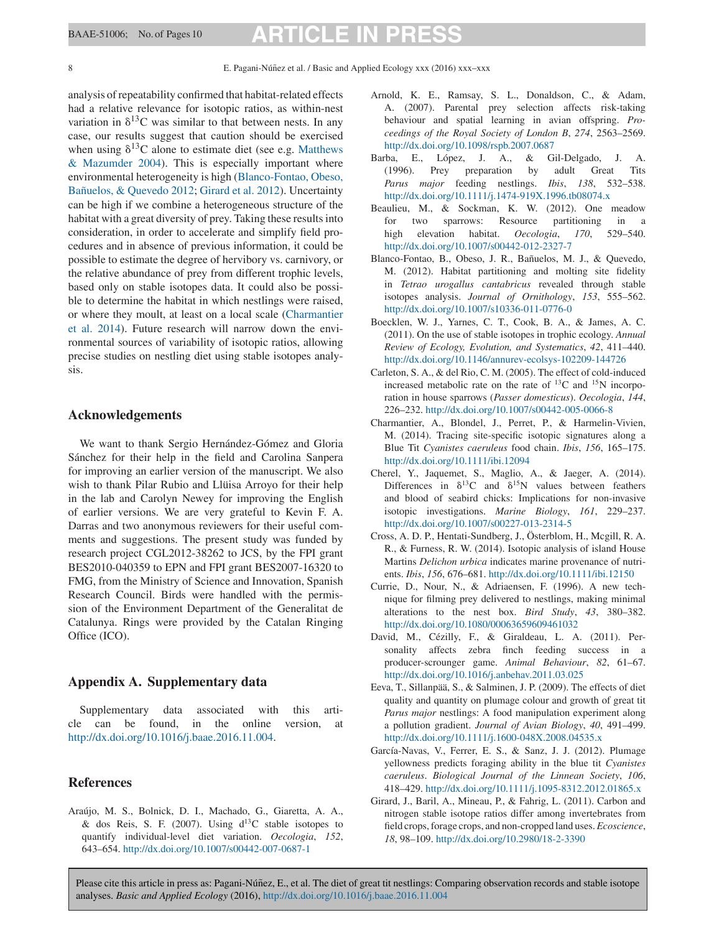<span id="page-7-0"></span>analysis of repeatability confirmed that habitat-related effects had a relative relevance for isotopic ratios, as within-nest variation in  $\delta^{13}$ C was similar to that between nests. In any case, our results suggest that caution should be exercised when using  $\delta^{13}$ C alone to estimate diet (see e.g. [Matthews](#page-8-0) [& Mazumder 2004\).](#page-8-0) This is especially important where environmental heterogeneity is high (Blanco-Fontao, Obeso, Bañuelos, & Quevedo 2012; [Girard et al. 2012\).](#page-8-0) Uncertainty can be high if we combine a heterogeneous structure of the habitat with a great diversity of prey. Taking these results into consideration, in order to accelerate and simplify field procedures and in absence of previous information, it could be possible to estimate the degree of hervibory vs. carnivory, or the relative abundance of prey from different trophic levels, based only on stable isotopes data. It could also be possible to determine the habitat in which nestlings were raised, or where they moult, at least on a local scale (Charmantier et al. 2014). Future research will narrow down the environmental sources of variability of isotopic ratios, allowing precise studies on nestling diet using stable isotopes analysis.

### **Acknowledgements**

We want to thank Sergio Hernández-Gómez and Gloria Sánchez for their help in the field and Carolina Sanpera for improving an earlier version of the manuscript. We also wish to thank Pilar Rubio and Llüisa Arroyo for their help in the lab and Carolyn Newey for improving the English of earlier versions. We are very grateful to Kevin F. A. Darras and two anonymous reviewers for their useful comments and suggestions. The present study was funded by research project CGL2012-38262 to JCS, by the FPI grant BES2010-040359 to EPN and FPI grant BES2007-16320 to FMG, from the Ministry of Science and Innovation, Spanish Research Council. Birds were handled with the permission of the Environment Department of the Generalitat de Catalunya. Rings were provided by the Catalan Ringing Office (ICO).

## **Appendix A. Supplementary data**

Supplementary data associated with this article can be found, in the online version, at <http://dx.doi.org/10.1016/j.baae.2016.11.004>.

### **References**

Araújo, M. S., Bolnick, D. I., Machado, G., Giaretta, A. A., & dos Reis, S. F. (2007). Using  $d^{13}C$  stable isotopes to quantify individual-level diet variation. *Oecologia*, *152*, 643–654. [http://dx.doi.org/10.1007/s00442-007-0687-1](dx.doi.org/10.1007/s00442-007-0687-1)

- Arnold, K. E., Ramsay, S. L., Donaldson, C., & Adam, A. (2007). Parental prey selection affects risk-taking behaviour and spatial learning in avian offspring. *Proceedings of the Royal Society of London B*, *274*, 2563–2569. [http://dx.doi.org/10.1098/rspb.2007.0687](dx.doi.org/10.1098/rspb.2007.0687)
- Barba, E., López, J. A., & Gil-Delgado, J. A. (1996). Prey preparation by adult Great Tits *Parus major* feeding nestlings. *Ibis*, *138*, 532–538. [http://dx.doi.org/10.1111/j.1474-919X.1996.tb08074.x](dx.doi.org/10.1111/j.1474-919X.1996.tb08074.x)
- Beaulieu, M., & Sockman, K. W. (2012). One meadow for two sparrows: Resource partitioning in a high elevation habitat. *Oecologia*, *170*, 529–540. [http://dx.doi.org/10.1007/s00442-012-2327-7](dx.doi.org/10.1007/s00442-012-2327-7)
- Blanco-Fontao, B., Obeso, J. R., Bañuelos, M. J., & Quevedo, M. (2012). Habitat partitioning and molting site fidelity in *Tetrao urogallus cantabricus* revealed through stable isotopes analysis. *Journal of Ornithology*, *153*, 555–562. [http://dx.doi.org/10.1007/s10336-011-0776-0](dx.doi.org/10.1007/s10336-011-0776-0)
- Boecklen, W. J., Yarnes, C. T., Cook, B. A., & James, A. C. (2011). On the use of stable isotopes in trophic ecology. *Annual Review of Ecology, Evolution, and Systematics*, *42*, 411–440. [http://dx.doi.org/10.1146/annurev-ecolsys-102209-144726](dx.doi.org/10.1146/annurev-ecolsys-102209-144726)
- Carleton, S. A., & del Rio, C. M. (2005). The effect of cold-induced increased metabolic rate on the rate of  $^{13}$ C and  $^{15}$ N incorporation in house sparrows (*Passer domesticus*). *Oecologia*, *144*, 226–232. [http://dx.doi.org/10.1007/s00442-005-0066-8](dx.doi.org/10.1007/s00442-005-0066-8)
- Charmantier, A., Blondel, J., Perret, P., & Harmelin-Vivien, M. (2014). Tracing site-specific isotopic signatures along a Blue Tit *Cyanistes caeruleus* food chain. *Ibis*, *156*, 165–175. [http://dx.doi.org/10.1111/ibi.12094](dx.doi.org/10.1111/ibi.12094)
- Cherel, Y., Jaquemet, S., Maglio, A., & Jaeger, A. (2014). Differences in  $\delta^{13}$ C and  $\delta^{15}$ N values between feathers and blood of seabird chicks: Implications for non-invasive isotopic investigations. *Marine Biology*, *161*, 229–237. [http://dx.doi.org/10.1007/s00227-013-2314-5](dx.doi.org/10.1007/s00227-013-2314-5)
- Cross, A. D. P., Hentati-Sundberg, J., Österblom, H., Mcgill, R. A. R., & Furness, R. W. (2014). Isotopic analysis of island House Martins *Delichon urbica* indicates marine provenance of nutrients. *Ibis*, *156*, 676–681. [http://dx.doi.org/10.1111/ibi.12150](dx.doi.org/10.1111/ibi.12150)
- Currie, D., Nour, N., & Adriaensen, F. (1996). A new technique for filming prey delivered to nestlings, making minimal alterations to the nest box. *Bird Study*, *43*, 380–382. [http://dx.doi.org/10.1080/00063659609461032](dx.doi.org/10.1080/00063659609461032)
- David, M., Cézilly, F., & Giraldeau, L. A. (2011). Personality affects zebra finch feeding success in a producer-scrounger game. *Animal Behaviour*, *82*, 61–67. [http://dx.doi.org/10.1016/j.anbehav.2011.03.025](dx.doi.org/10.1016/j.anbehav.2011.03.025)
- Eeva, T., Sillanpää, S., & Salminen, J. P. (2009). The effects of diet quality and quantity on plumage colour and growth of great tit *Parus major* nestlings: A food manipulation experiment along a pollution gradient. *Journal of Avian Biology*, *40*, 491–499. [http://dx.doi.org/10.1111/j.1600-048X.2008.04535.x](dx.doi.org/10.1111/j.1600-048X.2008.04535.x)
- García-Navas, V., Ferrer, E. S., & Sanz, J. J. (2012). Plumage yellowness predicts foraging ability in the blue tit *Cyanistes caeruleus*. *Biological Journal of the Linnean Society*, *106*, 418–429. [http://dx.doi.org/10.1111/j.1095-8312.2012.01865.x](dx.doi.org/10.1111/j.1095-8312.2012.01865.x)
- Girard, J., Baril, A., Mineau, P., & Fahrig, L. (2011). Carbon and nitrogen stable isotope ratios differ among invertebrates from field crops, forage crops, and non-cropped land uses.*Ecoscience*, *18*, 98–109. [http://dx.doi.org/10.2980/18-2-3390](dx.doi.org/10.2980/18-2-3390)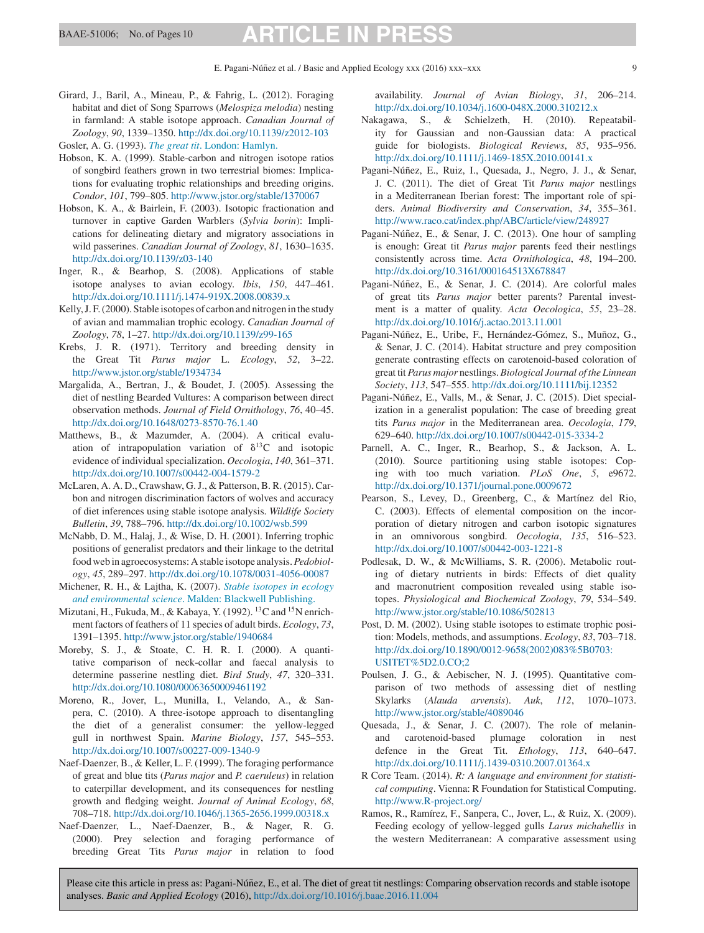# <span id="page-8-0"></span>BAAE-51006; No. of Pages 10 **ARTICLE IN**

Girard, J., Baril, A., Mineau, P., & Fahrig, L. (2012). Foraging habitat and diet of Song Sparrows (*Melospiza melodia*) nesting in farmland: A stable isotope approach. *Canadian Journal of Zoology*, *90*, 1339–1350. [http://dx.doi.org/10.1139/z2012-103](dx.doi.org/10.1139/z2012-103)

Gosler, A. G. (1993). *[The great tit](http://refhub.elsevier.com/S1439-1791(16)30228-6/sbref0085)*[. London: Hamlyn.](http://refhub.elsevier.com/S1439-1791(16)30228-6/sbref0085)

- Hobson, K. A. (1999). Stable-carbon and nitrogen isotope ratios of songbird feathers grown in two terrestrial biomes: Implications for evaluating trophic relationships and breeding origins. *Condor*, *101*, 799–805. <http://www.jstor.org/stable/1370067>
- Hobson, K. A., & Bairlein, F. (2003). Isotopic fractionation and turnover in captive Garden Warblers (*Sylvia borin*): Implications for delineating dietary and migratory associations in wild passerines. *Canadian Journal of Zoology*, *81*, 1630–1635. [http://dx.doi.org/10.1139/z03-140](dx.doi.org/10.1139/z03-140)
- Inger, R., & Bearhop, S. (2008). Applications of stable isotope analyses to avian ecology. *Ibis*, *150*, 447–461. [http://dx.doi.org/10.1111/j.1474-919X.2008.00839.x](dx.doi.org/10.1111/j.1474-919X.2008.00839.x)
- Kelly, J. F. (2000). Stable isotopes of carbon and nitrogen in the study of avian and mammalian trophic ecology. *Canadian Journal of Zoology*, *78*, 1–27. [http://dx.doi.org/10.1139/z99-165](dx.doi.org/10.1139/z99-165)
- Krebs, J. R. (1971). Territory and breeding density in the Great Tit *Parus major* L. *Ecology*, *52*, 3–22. <http://www.jstor.org/stable/1934734>
- Margalida, A., Bertran, J., & Boudet, J. (2005). Assessing the diet of nestling Bearded Vultures: A comparison between direct observation methods. *Journal of Field Ornithology*, *76*, 40–45. [http://dx.doi.org/10.1648/0273-8570-76.1.40](dx.doi.org/10.1648/0273-8570-76.1.40)
- Matthews, B., & Mazumder, A. (2004). A critical evaluation of intrapopulation variation of  $\delta^{13}$ C and isotopic evidence of individual specialization. *Oecologia*, *140*, 361–371. [http://dx.doi.org/10.1007/s00442-004-1579-2](dx.doi.org/10.1007/s00442-004-1579-2)
- McLaren, A. A. D., Crawshaw, G. J., & Patterson, B. R. (2015). Carbon and nitrogen discrimination factors of wolves and accuracy of diet inferences using stable isotope analysis. *Wildlife Society Bulletin*, *39*, 788–796. [http://dx.doi.org/10.1002/wsb.599](dx.doi.org/10.1002/wsb.599)
- McNabb, D. M., Halaj, J., & Wise, D. H. (2001). Inferring trophic positions of generalist predators and their linkage to the detrital food web in agroecosystems: A stable isotope analysis.*Pedobiology*, *45*, 289–297. [http://dx.doi.org/10.1078/0031-4056-00087](dx.doi.org/10.1078/0031-4056-00087)
- Michener, R. H., & Lajtha, K. (2007). *[Stable isotopes in ecology](http://refhub.elsevier.com/S1439-1791(16)30228-6/sbref0135) [and environmental science](http://refhub.elsevier.com/S1439-1791(16)30228-6/sbref0135)*[. Malden: Blackwell Publishing.](http://refhub.elsevier.com/S1439-1791(16)30228-6/sbref0135)
- Mizutani, H., Fukuda, M., & Kabaya, Y. (1992). <sup>13</sup>C and <sup>15</sup>N enrichment factors of feathers of 11 species of adult birds. *Ecology*, *73*, 1391–1395. <http://www.jstor.org/stable/1940684>
- Moreby, S. J., & Stoate, C. H. R. I. (2000). A quantitative comparison of neck-collar and faecal analysis to determine passerine nestling diet. *Bird Study*, *47*, 320–331. [http://dx.doi.org/10.1080/00063650009461192](dx.doi.org/10.1080/00063650009461192)
- Moreno, R., Jover, L., Munilla, I., Velando, A., & Sanpera, C. (2010). A three-isotope approach to disentangling the diet of a generalist consumer: the yellow-legged gull in northwest Spain. *Marine Biology*, *157*, 545–553. [http://dx.doi.org/10.1007/s00227-009-1340-9](dx.doi.org/10.1007/s00227-009-1340-9)
- Naef-Daenzer, B., & Keller, L. F. (1999). The foraging performance of great and blue tits (*Parus major* and *P. caeruleus*) in relation to caterpillar development, and its consequences for nestling growth and fledging weight. *Journal of Animal Ecology*, *68*, 708–718. [http://dx.doi.org/10.1046/j.1365-2656.1999.00318.x](dx.doi.org/10.1046/j.1365-2656.1999.00318.x)
- Naef-Daenzer, L., Naef-Daenzer, B., & Nager, R. G. (2000). Prey selection and foraging performance of breeding Great Tits *Parus major* in relation to food

availability. *Journal of Avian Biology*, *31*, 206–214. [http://dx.doi.org/10.1034/j.1600-048X.2000.310212.x](dx.doi.org/10.1034/j.1600-048X.2000.310212.x)

- Nakagawa, S., & Schielzeth, H. (2010). Repeatability for Gaussian and non-Gaussian data: A practical guide for biologists. *Biological Reviews*, *85*, 935–956. [http://dx.doi.org/10.1111/j.1469-185X.2010.00141.x](dx.doi.org/10.1111/j.1469-185X.2010.00141.x)
- Pagani-Núñez, E., Ruiz, I., Quesada, J., Negro, J. J., & Senar, J. C. (2011). The diet of Great Tit *Parus major* nestlings in a Mediterranean Iberian forest: The important role of spiders. *Animal Biodiversity and Conservation*, *34*, 355–361. <http://www.raco.cat/index.php/ABC/article/view/248927>
- Pagani-Núñez, E., & Senar, J. C. (2013). One hour of sampling is enough: Great tit *Parus major* parents feed their nestlings consistently across time. *Acta Ornithologica*, *48*, 194–200. [http://dx.doi.org/10.3161/000164513X678847](dx.doi.org/10.3161/000164513X678847)
- Pagani-Núñez, E., & Senar, J. C. (2014). Are colorful males of great tits *Parus major* better parents? Parental investment is a matter of quality. *Acta Oecologica*, *55*, 23–28. [http://dx.doi.org/10.1016/j.actao.2013.11.001](dx.doi.org/10.1016/j.actao.2013.11.001)
- Pagani-Núñez, E., Uribe, F., Hernández-Gómez, S., Muñoz, G., & Senar, J. C. (2014). Habitat structure and prey composition generate contrasting effects on carotenoid-based coloration of great tit *Parus major* nestlings. *Biological Journal of the Linnean Society*, *113*, 547–555. [http://dx.doi.org/10.1111/bij.12352](dx.doi.org/10.1111/bij.12352)
- Pagani-Núñez, E., Valls, M., & Senar, J. C. (2015). Diet specialization in a generalist population: The case of breeding great tits *Parus major* in the Mediterranean area. *Oecologia*, *179*, 629–640. [http://dx.doi.org/10.1007/s00442-015-3334-2](dx.doi.org/10.1007/s00442-015-3334-2)
- Parnell, A. C., Inger, R., Bearhop, S., & Jackson, A. L. (2010). Source partitioning using stable isotopes: Coping with too much variation. *PLoS One*, *5*, e9672. [http://dx.doi.org/10.1371/journal.pone.0009672](dx.doi.org/10.1371/journal.pone.0009672)
- Pearson, S., Levey, D., Greenberg, C., & Martínez del Rio, C. (2003). Effects of elemental composition on the incorporation of dietary nitrogen and carbon isotopic signatures in an omnivorous songbird. *Oecologia*, *135*, 516–523. [http://dx.doi.org/10.1007/s00442-003-1221-8](dx.doi.org/10.1007/s00442-003-1221-8)
- Podlesak, D. W., & McWilliams, S. R. (2006). Metabolic routing of dietary nutrients in birds: Effects of diet quality and macronutrient composition revealed using stable isotopes. *Physiological and Biochemical Zoology*, *79*, 534–549. <http://www.jstor.org/stable/10.1086/502813>
- Post, D. M. (2002). Using stable isotopes to estimate trophic position: Models, methods, and assumptions. *Ecology*, *83*, 703–718. [http://dx.doi.org/10.1890/0012-9658\(2002\)083%5B0703:](dx.doi.org/10.1890/0012-9658(2002)083%5B0703:USITET%5D2.0.CO;2) [USITET%5D2.0.CO;2](dx.doi.org/10.1890/0012-9658(2002)083%5B0703:USITET%5D2.0.CO;2)
- Poulsen, J. G., & Aebischer, N. J. (1995). Quantitative comparison of two methods of assessing diet of nestling Skylarks (*Alauda arvensis*). *Auk*, *112*, 1070–1073. <http://www.jstor.org/stable/4089046>
- Quesada, J., & Senar, J. C. (2007). The role of melaninand carotenoid-based plumage coloration in nest defence in the Great Tit. *Ethology*, *113*, 640–647. [http://dx.doi.org/10.1111/j.1439-0310.2007.01364.x](dx.doi.org/10.1111/j.1439-0310.2007.01364.x)
- R Core Team. (2014). *R: A language and environment for statistical computing*. Vienna: R Foundation for Statistical Computing. <http://www.R-project.org/>
- Ramos, R., Ramírez, F., Sanpera, C., Jover, L., & Ruiz, X. (2009). Feeding ecology of yellow-legged gulls *Larus michahellis* in the western Mediterranean: A comparative assessment using